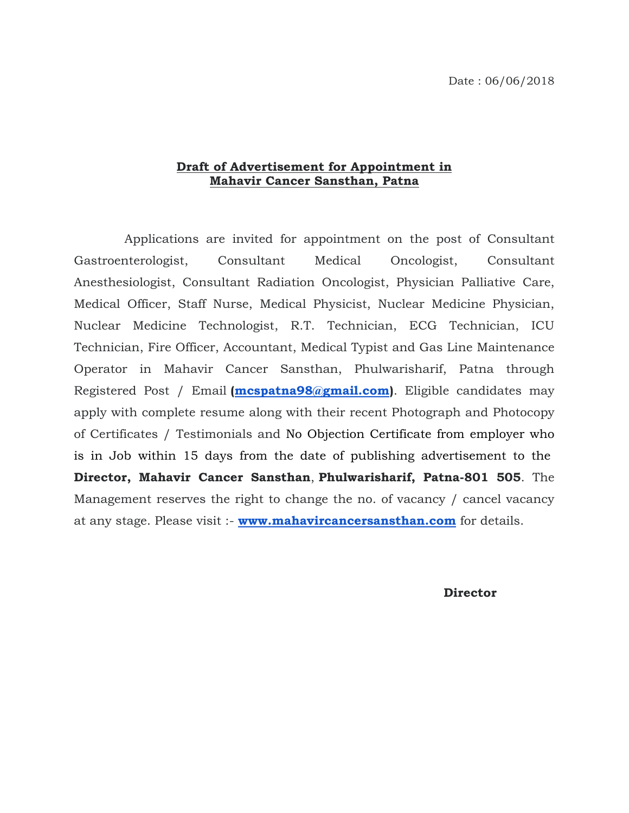## **Draft of Advertisement for Appointment in Mahavir Cancer Sansthan, Patna**

 Applications are invited for appointment on the post of Consultant Gastroenterologist, Consultant Medical Oncologist, Consultant Anesthesiologist, Consultant Radiation Oncologist, Physician Palliative Care, Medical Officer, Staff Nurse, Medical Physicist, Nuclear Medicine Physician, Nuclear Medicine Technologist, R.T. Technician, ECG Technician, ICU Technician, Fire Officer, Accountant, Medical Typist and Gas Line Maintenance Operator in Mahavir Cancer Sansthan, Phulwarisharif, Patna through Registered Post / Email **[\(mcspatna98@gmail.com\)](mailto:mcspatna98@gmail.com)**. Eligible candidates may apply with complete resume along with their recent Photograph and Photocopy of Certificates / Testimonials and No Objection Certificate from employer who is in Job within 15 days from the date of publishing advertisement to the **Director, Mahavir Cancer Sansthan**, **Phulwarisharif, Patna-801 505**. The Management reserves the right to change the no. of vacancy / cancel vacancy at any stage. Please visit :- **[www.mahavircancersansthan.com](http://www.mahavircancersansthan.com/)** for details.

**Director**